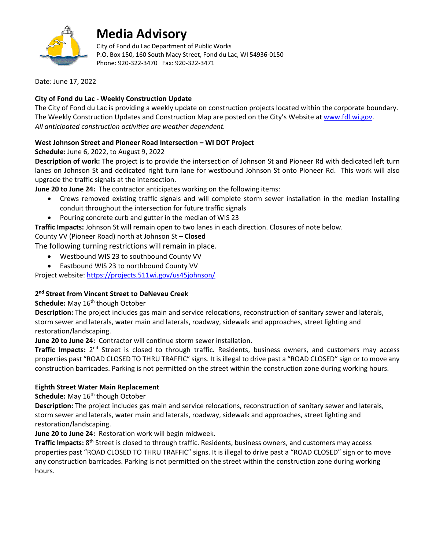

# **Media Advisory**

City of Fond du Lac Department of Public Works P.O. Box 150, 160 South Macy Street, Fond du Lac, WI 54936-0150 Phone: 920-322-3470 Fax: 920-322-3471

Date: June 17, 2022

### **City of Fond du Lac - Weekly Construction Update**

The City of Fond du Lac is providing a weekly update on construction projects located within the corporate boundary. The Weekly Construction Updates and Construction Map are posted on the City's Website a[t www.fdl.wi.gov.](http://www.fdl.wi.gov/) *All anticipated construction activities are weather dependent.*

### **West Johnson Street and Pioneer Road Intersection – WI DOT Project**

**Schedule:** June 6, 2022, to August 9, 2022

**Description of work:** The project is to provide the intersection of Johnson St and Pioneer Rd with dedicated left turn lanes on Johnson St and dedicated right turn lane for westbound Johnson St onto Pioneer Rd. This work will also upgrade the traffic signals at the intersection.

**June 20 to June 24:** The contractor anticipates working on the following items:

- Crews removed existing traffic signals and will complete storm sewer installation in the median Installing conduit throughout the intersection for future traffic signals
- Pouring concrete curb and gutter in the median of WIS 23

**Traffic Impacts:** Johnson St will remain open to two lanes in each direction. Closures of note below.

County VV (Pioneer Road) north at Johnson St – **Closed**

The following turning restrictions will remain in place.

- Westbound WIS 23 to southbound County VV
- Eastbound WIS 23 to northbound County VV

Project website:<https://projects.511wi.gov/us45johnson/>

## **2nd Street from Vincent Street to DeNeveu Creek**

**Schedule:** May 16<sup>th</sup> though October

**Description:** The project includes gas main and service relocations, reconstruction of sanitary sewer and laterals, storm sewer and laterals, water main and laterals, roadway, sidewalk and approaches, street lighting and restoration/landscaping.

**June 20 to June 24:** Contractor will continue storm sewer installation.

**Traffic Impacts:** 2nd Street is closed to through traffic. Residents, business owners, and customers may access properties past "ROAD CLOSED TO THRU TRAFFIC" signs. It is illegal to drive past a "ROAD CLOSED" sign or to move any construction barricades. Parking is not permitted on the street within the construction zone during working hours.

#### **Eighth Street Water Main Replacement**

**Schedule:** May 16<sup>th</sup> though October

**Description:** The project includes gas main and service relocations, reconstruction of sanitary sewer and laterals, storm sewer and laterals, water main and laterals, roadway, sidewalk and approaches, street lighting and restoration/landscaping.

**June 20 to June 24:** Restoration work will begin midweek.

**Traffic Impacts:** 8th Street is closed to through traffic. Residents, business owners, and customers may access properties past "ROAD CLOSED TO THRU TRAFFIC" signs. It is illegal to drive past a "ROAD CLOSED" sign or to move any construction barricades. Parking is not permitted on the street within the construction zone during working hours.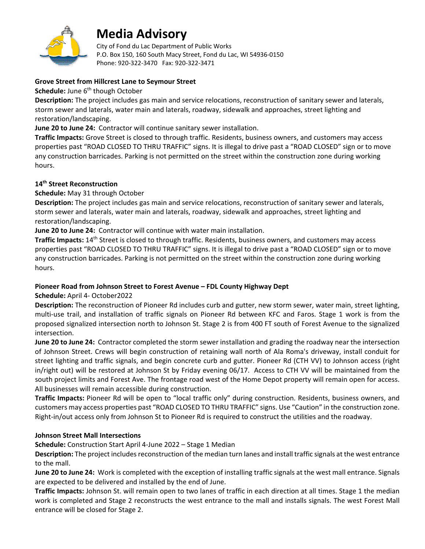

# **Media Advisory**

City of Fond du Lac Department of Public Works P.O. Box 150, 160 South Macy Street, Fond du Lac, WI 54936-0150 Phone: 920-322-3470 Fax: 920-322-3471

#### **Grove Street from Hillcrest Lane to Seymour Street**

**Schedule:** June 6<sup>th</sup> though October

**Description:** The project includes gas main and service relocations, reconstruction of sanitary sewer and laterals, storm sewer and laterals, water main and laterals, roadway, sidewalk and approaches, street lighting and restoration/landscaping.

**June 20 to June 24:** Contractor will continue sanitary sewer installation.

**Traffic Impacts:** Grove Street is closed to through traffic. Residents, business owners, and customers may access properties past "ROAD CLOSED TO THRU TRAFFIC" signs. It is illegal to drive past a "ROAD CLOSED" sign or to move any construction barricades. Parking is not permitted on the street within the construction zone during working hours.

### **14th Street Reconstruction**

#### **Schedule:** May 31 through October

**Description:** The project includes gas main and service relocations, reconstruction of sanitary sewer and laterals, storm sewer and laterals, water main and laterals, roadway, sidewalk and approaches, street lighting and restoration/landscaping.

**June 20 to June 24:** Contractor will continue with water main installation.

**Traffic Impacts:** 14th Street is closed to through traffic. Residents, business owners, and customers may access properties past "ROAD CLOSED TO THRU TRAFFIC" signs. It is illegal to drive past a "ROAD CLOSED" sign or to move any construction barricades. Parking is not permitted on the street within the construction zone during working hours.

#### **Pioneer Road from Johnson Street to Forest Avenue – FDL County Highway Dept**

**Schedule:** April 4- October2022

**Description:** The reconstruction of Pioneer Rd includes curb and gutter, new storm sewer, water main, street lighting, multi-use trail, and installation of traffic signals on Pioneer Rd between KFC and Faros. Stage 1 work is from the proposed signalized intersection north to Johnson St. Stage 2 is from 400 FT south of Forest Avenue to the signalized intersection.

**June 20 to June 24:** Contractor completed the storm sewer installation and grading the roadway near the intersection of Johnson Street. Crews will begin construction of retaining wall north of Ala Roma's driveway, install conduit for street lighting and traffic signals, and begin concrete curb and gutter. Pioneer Rd (CTH VV) to Johnson access (right in/right out) will be restored at Johnson St by Friday evening 06/17. Access to CTH VV will be maintained from the south project limits and Forest Ave. The frontage road west of the Home Depot property will remain open for access. All businesses will remain accessible during construction.

**Traffic Impacts:** Pioneer Rd will be open to "local traffic only" during construction. Residents, business owners, and customers may access properties past "ROAD CLOSED TO THRU TRAFFIC" signs. Use "Caution" in the construction zone. Right-in/out access only from Johnson St to Pioneer Rd is required to construct the utilities and the roadway.

#### **Johnson Street Mall Intersections**

**Schedule:** Construction Start April 4-June 2022 – Stage 1 Median

**Description:** The project includes reconstruction of the median turn lanes and install traffic signals at the west entrance to the mall.

**June 20 to June 24:** Work is completed with the exception of installing traffic signals at the west mall entrance. Signals are expected to be delivered and installed by the end of June.

**Traffic Impacts:** Johnson St. will remain open to two lanes of traffic in each direction at all times. Stage 1 the median work is completed and Stage 2 reconstructs the west entrance to the mall and installs signals. The west Forest Mall entrance will be closed for Stage 2.